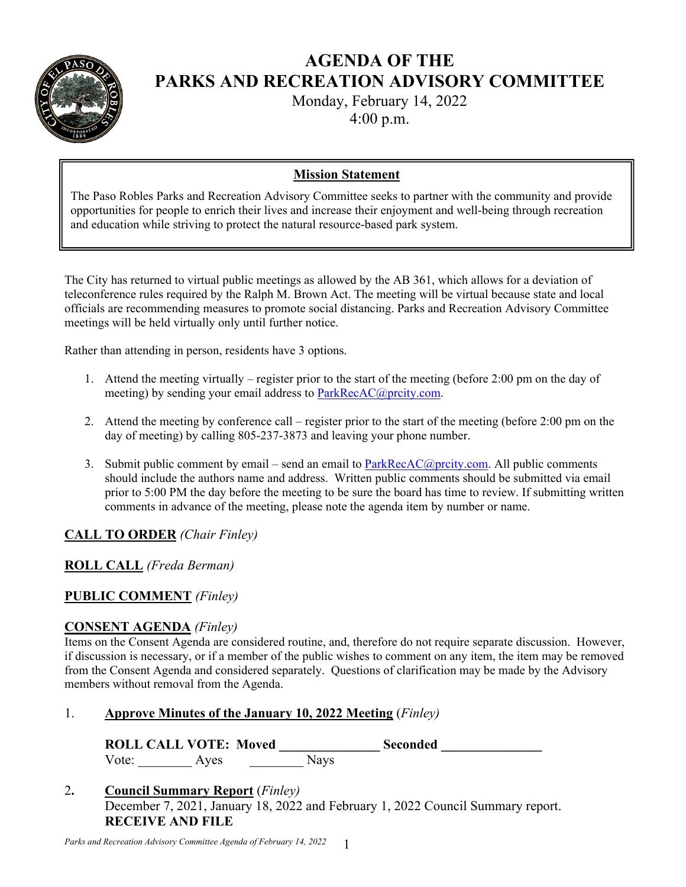

# **AGENDA OF THE PARKS AND RECREATION ADVISORY COMMITTEE**

Monday, February 14, 2022

4:00 p.m.

## **Mission Statement**

The Paso Robles Parks and Recreation Advisory Committee seeks to partner with the community and provide opportunities for people to enrich their lives and increase their enjoyment and well-being through recreation and education while striving to protect the natural resource-based park system.

The City has returned to virtual public meetings as allowed by the AB 361, which allows for a deviation of teleconference rules required by the Ralph M. Brown Act. The meeting will be virtual because state and local officials are recommending measures to promote social distancing. Parks and Recreation Advisory Committee meetings will be held virtually only until further notice.

Rather than attending in person, residents have 3 options.

- 1. Attend the meeting virtually register prior to the start of the meeting (before 2:00 pm on the day of meeting) by sending your email address to ParkRecAC@prcity.com.
- 2. Attend the meeting by conference call register prior to the start of the meeting (before 2:00 pm on the day of meeting) by calling 805-237-3873 and leaving your phone number.
- 3. Submit public comment by email send an email to  $ParkRecAC@proity.com$ . All public comments should include the authors name and address. Written public comments should be submitted via email prior to 5:00 PM the day before the meeting to be sure the board has time to review. If submitting written comments in advance of the meeting, please note the agenda item by number or name.

## **CALL TO ORDER** *(Chair Finley)*

## **ROLL CALL** *(Freda Berman)*

## **PUBLIC COMMENT** *(Finley)*

#### **CONSENT AGENDA** *(Finley)*

Items on the Consent Agenda are considered routine, and, therefore do not require separate discussion. However, if discussion is necessary, or if a member of the public wishes to comment on any item, the item may be removed from the Consent Agenda and considered separately. Questions of clarification may be made by the Advisory members without removal from the Agenda.

#### 1. **Approve Minutes of the January 10, 2022 Meeting** (*Finley)*

ROLL CALL VOTE: Moved Seconded Vote: Ayes Nays

2**. Council Summary Report** (*Finley)* December 7, 2021, January 18, 2022 and February 1, 2022 Council Summary report. **RECEIVE AND FILE**